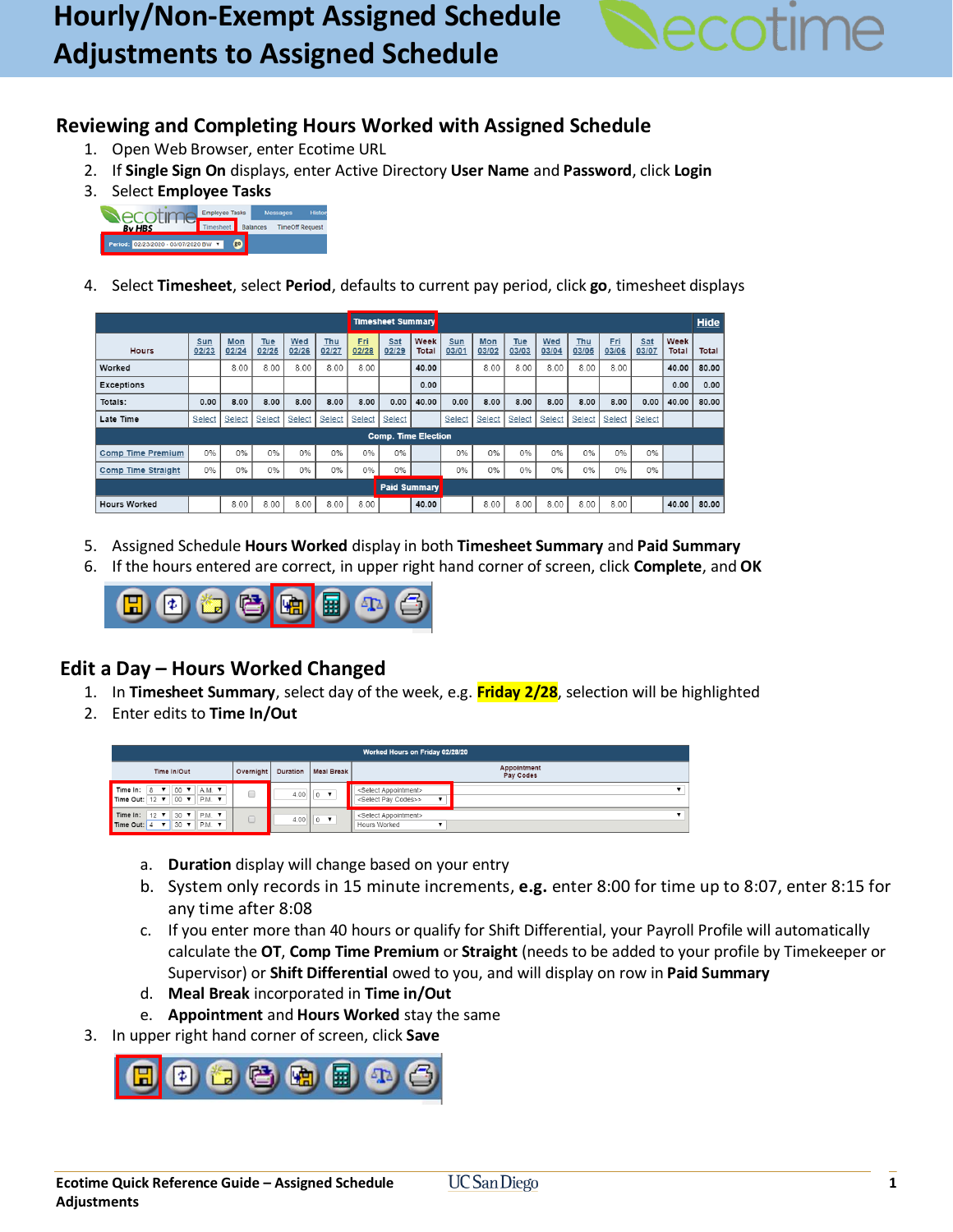

## **Reviewing and Completing Hours Worked with Assigned Schedule**

- 1. Open Web Browser, enter Ecotime URL
- 2. If **Single Sign On** displays, enter Active Directory **User Name** and **Password**, click **Login**
- 3. Select **Employee Tasks**



4. Select **Timesheet**, select **Period**, defaults to current pay period, click **go**, timesheet displays

|                            |                     |              |              |              |              |                     | <b>Timesheet Summary</b> |               |              |              |              |              |              |                     |              |               |       |
|----------------------------|---------------------|--------------|--------------|--------------|--------------|---------------------|--------------------------|---------------|--------------|--------------|--------------|--------------|--------------|---------------------|--------------|---------------|-------|
| <b>Hours</b>               | <b>Sun</b><br>02/23 | Mon<br>02/24 | Tue<br>02/25 | Wed<br>02/26 | Thu<br>02/27 | <b>Fri</b><br>02/28 | Sat<br>02/29             | Week<br>Total | Sun<br>03/01 | Mon<br>03/02 | Tue<br>03/03 | Wed<br>03/04 | Thu<br>03/05 | <b>Fri</b><br>03/06 | Sat<br>03/07 | Week<br>Total | Total |
| Worked                     |                     | 8.00         | 8.00         | 8.00         | 8.00         | 8.00                |                          | 40.00         |              | 8.00         | 8.00         | 8.00         | 8.00         | 8.00                |              | 40.00         | 80.00 |
| <b>Exceptions</b>          |                     |              |              |              |              |                     |                          | 0.00          |              |              |              |              |              |                     |              | 0.00          | 0.00  |
| Totals:                    | 0.00                | 8.00         | 8.00         | 8.00         | 8.00         | 8.00                | 0.00                     | 40.00         | 0.00         | 8.00         | 8.00         | 8.00         | 8.00         | 8.00                | 0.00         | 40.00         | 80.00 |
| Late Time                  | Select              | Select       | Select       | Select       | Select       | Select              | Select                   |               | Select       | Select       | Select       | Select       | Select       | Select              | Select       |               |       |
| <b>Comp. Time Election</b> |                     |              |              |              |              |                     |                          |               |              |              |              |              |              |                     |              |               |       |
| <b>Comp Time Premium</b>   | 0%                  | 0%           | 0%           | 0%           | 0%           | 0%                  | 0%                       |               | 0%           | 0%           | 0%           | 0%           | 0%           | 0%                  | 0%           |               |       |
| <b>Comp Time Straight</b>  | 0%                  | 0%           | 0%           | 0%           | 0%           | 0%                  | 0%                       |               | 0%           | 0%           | 0%           | 0%           | 0%           | 0%                  | 0%           |               |       |
| <b>Paid Summary</b>        |                     |              |              |              |              |                     |                          |               |              |              |              |              |              |                     |              |               |       |
| <b>Hours Worked</b>        |                     | 8.00         | 8.00         | 8.00         | 8.00         | 8.00                |                          | 40.00         |              | 8.00         | 8.00         | 8.00         | 8.00         | 8.00                |              | 40.00         | 80.00 |

- 5. Assigned Schedule **Hours Worked** display in both **Timesheet Summary** and **Paid Summary**
- 6. If the hours entered are correct, in upper right hand corner of screen, click **Complete**, and **OK**



## **Edit a Day – Hours Worked Changed**

- 1. In **Timesheet Summary**, select day of the week, e.g. **Friday 2/28**, selection will be highlighted
- 2. Enter edits to **Time In/Out**

| Worked Hours on Friday 02/28/20                                                                                       |           |  |                           |                                                                            |  |  |  |  |  |  |
|-----------------------------------------------------------------------------------------------------------------------|-----------|--|---------------------------|----------------------------------------------------------------------------|--|--|--|--|--|--|
| Time In/Out                                                                                                           | Overnight |  | Duration   Meal Break     | Appointment<br>Pay Codes                                                   |  |  |  |  |  |  |
| $A.M.$ $\blacktriangledown$<br>$00$ $\blacktriangledown$<br>, Time In: ∣8 ▼ !<br>Time Out: $12 \times$<br>00 V P.M. V |           |  | 4.00 $ 0 \tarrow \tarrow$ | <select appointment=""><br/><select codes="" pay="">&gt;</select></select> |  |  |  |  |  |  |
| IP.M. ▼<br>Time In:<br>$12$ $\blacktriangledown$<br>$30 \text{ V}$<br>PM.<br>Time Out: 4<br>$30 \times$<br>t ville i  |           |  | 4.00 $0$ $\bullet$        | <select appointment=""><br/>Hours Worked</select>                          |  |  |  |  |  |  |

- a. **Duration** display will change based on your entry
- b. System only records in 15 minute increments, **e.g.** enter 8:00 for time up to 8:07, enter 8:15 for any time after 8:08
- c. If you enter more than 40 hours or qualify for Shift Differential, your Payroll Profile will automatically calculate the **OT**, **Comp Time Premium** or **Straight** (needs to be added to your profile by Timekeeper or Supervisor) or **Shift Differential** owed to you, and will display on row in **Paid Summary**
- d. **Meal Break** incorporated in **Time in/Out**
- e. **Appointment** and **Hours Worked** stay the same
- 3. In upper right hand corner of screen, click **Save**